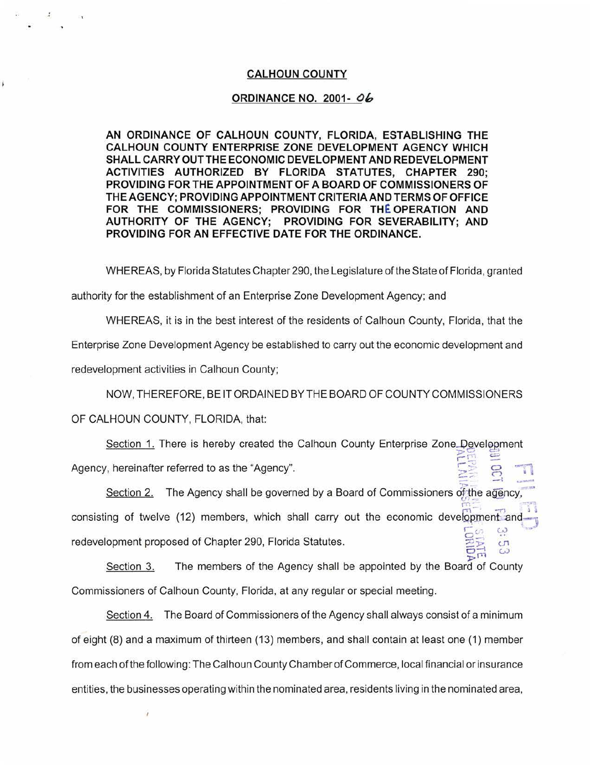## **CALHOUN COUNTY**

## **ORDINANCE NO. 2001- Oh**

**AN ORDINANCE OF CALHOUN COUNTY, FLORIDA, ESTABLISHING THE CALHOUN COUNTY ENTERPRISE ZONE DEVELOPMENT AGENCY WHICH SHALL CARRY OUT THE ECONOMIC DEVELOPMENT AND REDEVELOPMENT ACTIVITIES AUTHORIZED BY FLORIDA STATUTES, CHAPTER 290; PROVIDING FOR THE APPOINTMENT OF A BOARD OF COMMISSIONERS OF THE AGENCY; PROVIDING APPOINTMENT CRITERIA AND TERMS OF OFFICE FOR THE COMMISSIONERS; PROVIDING FOR THE OPERATION AND AUTHORITY OF THE AGENCY; PROVIDING FOR SEVERABILITY; AND PROVIDING FOR AN EFFECTIVE DATE FOR THE ORDINANCE.** 

WHEREAS, by Florida Statutes Chapter 290, the Legislature of the State of Florida, granted

authority for the establishment of an Enterprise Zone Development Agency; and

WHEREAS, it is in the best interest of the residents of Calhoun County, Florida, that the Enterprise Zone Development Agency be established to carry out the economic development and

redevelopment activities in Calhoun County;

j

NOW, THEREFORE, BE IT ORDAINED BY THE BOARD OF COUNTY COMMISSIONERS

OF CALHOUN COUNTY, FLORIDA, that:

Î

Section 1. There is hereby created the Calhoun County Enterprise Zone Development , r. = Agency, hereinafter referred to as the "Agency".  $\approx$   $\approx$   $\sim$ 

Section 2. The Agency shall be governed by a Board of Commissioners of the agency consisting of twelve (12) members, which shall carry out the economic development and  $\Gamma_{\omega}$   $\omega$   $^{\mathrm{tan}}$ redevelopment proposed of Chapter 290, Florida Statutes.  $\overline{\mathbb{Z}}$   $\overline{\mathbb{Z}}$  cn

 $\frac{1}{2}$ Section 3. The members of the Agency shall be appointed by the Board of County Commissioners of Calhoun County, Florida, at any regular or special meeting.

Section 4. The Board of Commissioners of the Agency shall always consist of a minimum of eight (8) and a maximum of thirteen (13) members, and shall contain at least one (1) member from each of the following: The Calhoun County Chamber of Commerce, local financial or insurance entities, the businesses operating within the nominated area, residents living in the nominated area,